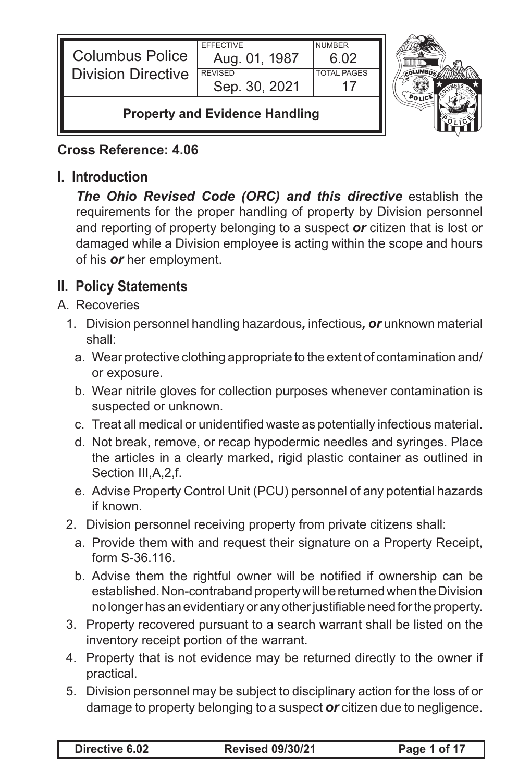| <b>Columbus Police</b>                | <b>FFFFCTIVE</b><br>Aug. 01, 1987 | <b>NUMBER</b><br>6 በ2 |  |
|---------------------------------------|-----------------------------------|-----------------------|--|
| <b>Division Directive</b>             | <b>REVISED</b><br>Sep. 30, 2021   | <b>TOTAL PAGES</b>    |  |
| <b>Property and Evidence Handling</b> |                                   |                       |  |

#### **Cross Reference: 4.06**

### **I. Introduction**

*The Ohio Revised Code (ORC) and this directive* establish the requirements for the proper handling of property by Division personnel and reporting of property belonging to a suspect *or* citizen that is lost or damaged while a Division employee is acting within the scope and hours of his *or* her employment.

# **II. Policy Statements**

- A. Recoveries
	- 1. Division personnel handling hazardous*,* infectious*, or* unknown material shall:
		- a. Wear protective clothing appropriate to the extent of contamination and/ or exposure.
		- b. Wear nitrile gloves for collection purposes whenever contamination is suspected or unknown.
		- c. Treat all medical or unidentified waste as potentially infectious material.
		- d. Not break, remove, or recap hypodermic needles and syringes. Place the articles in a clearly marked, rigid plastic container as outlined in Section III, A, 2, f.
		- e. Advise Property Control Unit (PCU) personnel of any potential hazards if known.
	- 2. Division personnel receiving property from private citizens shall:
		- a. Provide them with and request their signature on a Property Receipt, form S-36.116.
		- b. Advise them the rightful owner will be notified if ownership can be established. Non-contraband property will be returned when the Division no longer has an evidentiary or any other justifiable need for the property.
	- 3. Property recovered pursuant to a search warrant shall be listed on the inventory receipt portion of the warrant.
	- 4. Property that is not evidence may be returned directly to the owner if practical.
	- 5. Division personnel may be subject to disciplinary action for the loss of or damage to property belonging to a suspect *or* citizen due to negligence.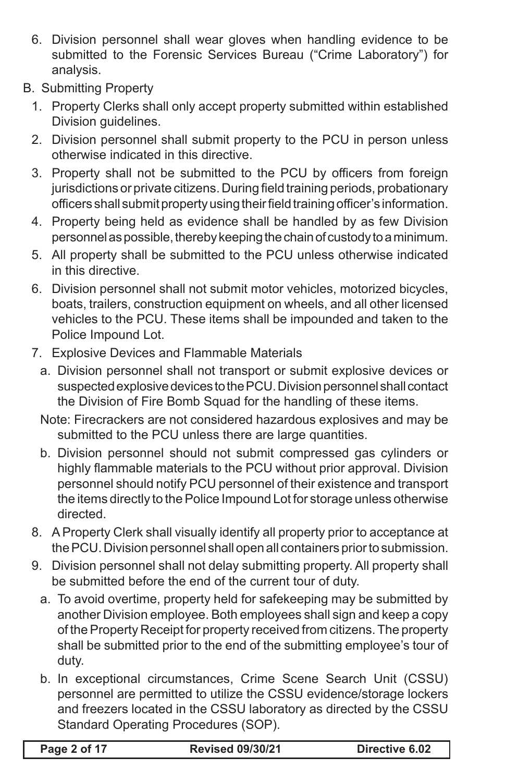- 6. Division personnel shall wear gloves when handling evidence to be submitted to the Forensic Services Bureau ("Crime Laboratory") for analysis.
- B. Submitting Property
	- 1. Property Clerks shall only accept property submitted within established Division guidelines.
	- 2. Division personnel shall submit property to the PCU in person unless otherwise indicated in this directive.
	- 3. Property shall not be submitted to the PCU by officers from foreign jurisdictions or private citizens. During field training periods, probationary officers shall submit property using their field training officer's information.
	- 4. Property being held as evidence shall be handled by as few Division personnel as possible, thereby keeping the chain of custody to a minimum.
	- 5. All property shall be submitted to the PCU unless otherwise indicated in this directive.
	- 6. Division personnel shall not submit motor vehicles, motorized bicycles, boats, trailers, construction equipment on wheels, and all other licensed vehicles to the PCU. These items shall be impounded and taken to the Police Impound Lot.
	- 7. Explosive Devices and Flammable Materials
		- a. Division personnel shall not transport or submit explosive devices or suspected explosive devices to the PCU. Division personnel shall contact the Division of Fire Bomb Squad for the handling of these items.
		- Note: Firecrackers are not considered hazardous explosives and may be submitted to the PCU unless there are large quantities.
		- b. Division personnel should not submit compressed gas cylinders or highly flammable materials to the PCU without prior approval. Division personnel should notify PCU personnel of their existence and transport the items directly to the Police Impound Lot for storage unless otherwise directed.
	- 8. A Property Clerk shall visually identify all property prior to acceptance at the PCU. Division personnel shall open all containers prior to submission.
	- 9. Division personnel shall not delay submitting property. All property shall be submitted before the end of the current tour of duty.
		- a. To avoid overtime, property held for safekeeping may be submitted by another Division employee. Both employees shall sign and keep a copy of the Property Receipt for property received from citizens. The property shall be submitted prior to the end of the submitting employee's tour of duty.
		- b. In exceptional circumstances, Crime Scene Search Unit (CSSU) personnel are permitted to utilize the CSSU evidence/storage lockers and freezers located in the CSSU laboratory as directed by the CSSU Standard Operating Procedures (SOP).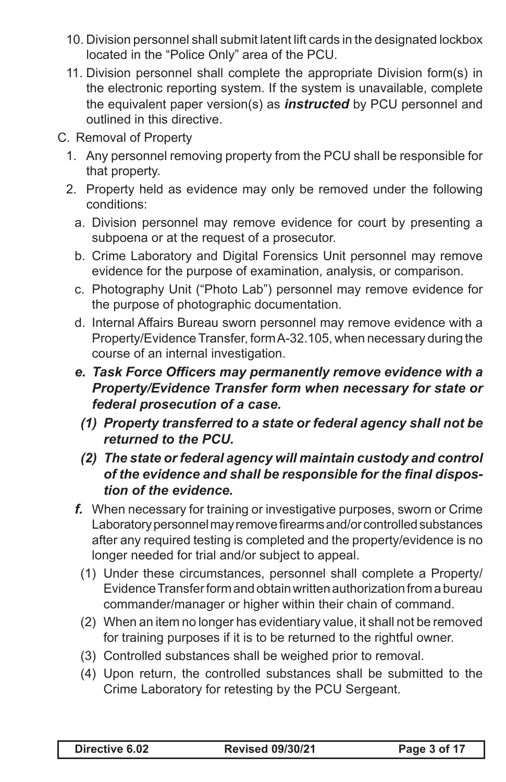- 10. Division personnel shall submit latent lift cards in the designated lockbox located in the "Police Only" area of the PCU.
- 11. Division personnel shall complete the appropriate Division form(s) in the electronic reporting system. If the system is unavailable, complete the equivalent paper version(s) as *instructed* by PCU personnel and outlined in this directive.
- C. Removal of Property
	- 1. Any personnel removing property from the PCU shall be responsible for that property.
	- 2. Property held as evidence may only be removed under the following conditions:
		- a. Division personnel may remove evidence for court by presenting a subpoena or at the request of a prosecutor.
		- b. Crime Laboratory and Digital Forensics Unit personnel may remove evidence for the purpose of examination, analysis, or comparison.
		- c. Photography Unit ("Photo Lab") personnel may remove evidence for the purpose of photographic documentation.
		- d. Internal Affairs Bureau sworn personnel may remove evidence with a Property/Evidence Transfer, form A-32.105, when necessary during the course of an internal investigation.
		- *e. Task Force Officers may permanently remove evidence with a Property/Evidence Transfer form when necessary for state or federal prosecution of a case.*
		- *(1) Property transferred to a state or federal agency shall not be returned to the PCU.*
		- *(2) The state orfederal agency will maintain custody and control of the evidence and shall be responsible for the final dispostion of the evidence.*
		- *f.* When necessary for training or investigative purposes, sworn or Crime Laboratory personnel may remove firearms and/or controlled substances after any required testing is completed and the property/evidence is no longer needed for trial and/or subject to appeal.
			- (1) Under these circumstances, personnel shall complete a Property/ Evidence Transfer form and obtain written authorization from a bureau commander/manager or higher within their chain of command.
			- (2) When an item no longer has evidentiary value, it shall not be removed for training purposes if it is to be returned to the rightful owner.
			- (3) Controlled substances shall be weighed prior to removal.
			- (4) Upon return, the controlled substances shall be submitted to the Crime Laboratory for retesting by the PCU Sergeant.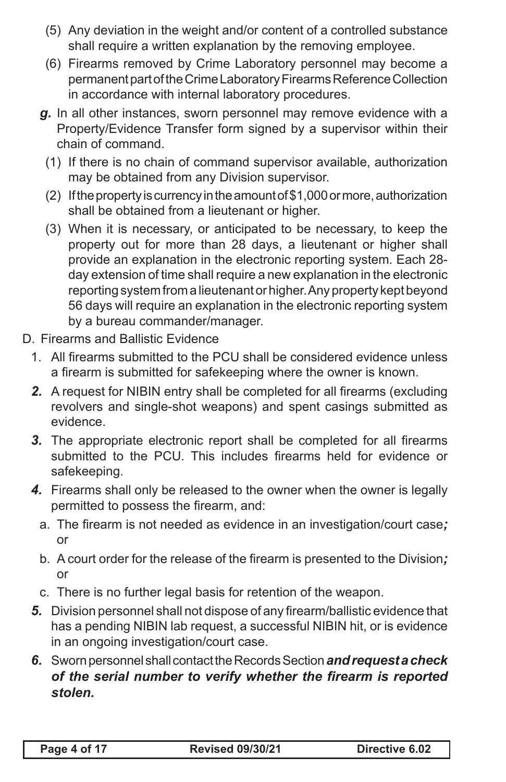- (5) Any deviation in the weight and/or content of a controlled substance shall require a written explanation by the removing employee.
- (6) Firearms removed by Crime Laboratory personnel may become a permanent part of the Crime Laboratory Firearms Reference Collection in accordance with internal laboratory procedures.
- *g.* In all other instances, sworn personnel may remove evidence with a Property/Evidence Transfer form signed by a supervisor within their chain of command.
	- (1) If there is no chain of command supervisor available, authorization may be obtained from any Division supervisor.
	- (2) If the property is currency in the amount of \$1,000 or more, authorization shall be obtained from a lieutenant or higher.
	- (3) When it is necessary, or anticipated to be necessary, to keep the property out for more than 28 days, a lieutenant or higher shall provide an explanation in the electronic reporting system. Each 28 day extension of time shall require a new explanation in the electronic reporting system from a lieutenant or higher. Any property kept beyond 56 days will require an explanation in the electronic reporting system by a bureau commander/manager.
- D. Firearms and Ballistic Evidence
	- 1. All firearms submitted to the PCU shall be considered evidence unless a firearm is submitted for safekeeping where the owner is known.
	- **2.** A request for NIBIN entry shall be completed for all firearms (excluding revolvers and single-shot weapons) and spent casings submitted as evidence.
	- **3.** The appropriate electronic report shall be completed for all firearms submitted to the PCU. This includes firearms held for evidence or safekeeping.
	- *4.* Firearms shall only be released to the owner when the owner is legally permitted to possess the firearm, and:
		- a. The firearm is not needed as evidence in an investigation/court case*;*  or
		- b. A court order for the release of the firearm is presented to the Division*;*  or
		- c. There is no further legal basis for retention of the weapon.
	- **5.** Division personnel shall not dispose of any firearm/ballistic evidence that has a pending NIBIN lab request, a successful NIBIN hit, or is evidence in an ongoing investigation/court case.
	- *6.* Sworn personnel shall contact the Records Section *and request a check of the serial number to verify whether the firearm is reported stolen.*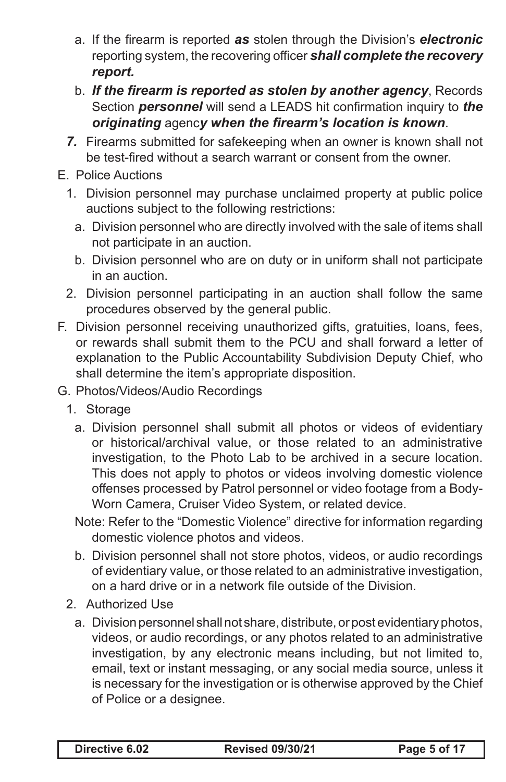- a. If the firearm is reported *as* stolen through the Division's *electronic* reporting system, the recovering officer *shall complete the recovery report.*
- b. *If the firearm is reported as stolen by another agency*, Records Section *personnel* will send a LEADS hit confirmation inquiry to *the originating* agenc*y when the firearm's location is known*.
- *7.* Firearms submitted for safekeeping when an owner is known shall not be test-fired without a search warrant or consent from the owner.
- E. Police Auctions
	- 1. Division personnel may purchase unclaimed property at public police auctions subject to the following restrictions:
		- a. Division personnel who are directly involved with the sale of items shall not participate in an auction.
		- b. Division personnel who are on duty or in uniform shall not participate in an auction.
	- 2. Division personnel participating in an auction shall follow the same procedures observed by the general public.
- F. Division personnel receiving unauthorized gifts, gratuities, loans, fees, or rewards shall submit them to the PCU and shall forward a letter of explanation to the Public Accountability Subdivision Deputy Chief, who shall determine the item's appropriate disposition.
- G. Photos/Videos/Audio Recordings
	- 1. Storage
		- a. Division personnel shall submit all photos or videos of evidentiary or historical/archival value, or those related to an administrative investigation, to the Photo Lab to be archived in a secure location. This does not apply to photos or videos involving domestic violence offenses processed by Patrol personnel or video footage from a Body-Worn Camera, Cruiser Video System, or related device.
		- Note: Refer to the "Domestic Violence" directive for information regarding domestic violence photos and videos.
		- b. Division personnel shall not store photos, videos, or audio recordings of evidentiary value, or those related to an administrative investigation, on a hard drive or in a network file outside of the Division.
	- 2. Authorized Use
		- a. Division personnel shall not share, distribute, or post evidentiary photos, videos, or audio recordings, or any photos related to an administrative investigation, by any electronic means including, but not limited to, email, text or instant messaging, or any social media source, unless it is necessary for the investigation or is otherwise approved by the Chief of Police or a designee.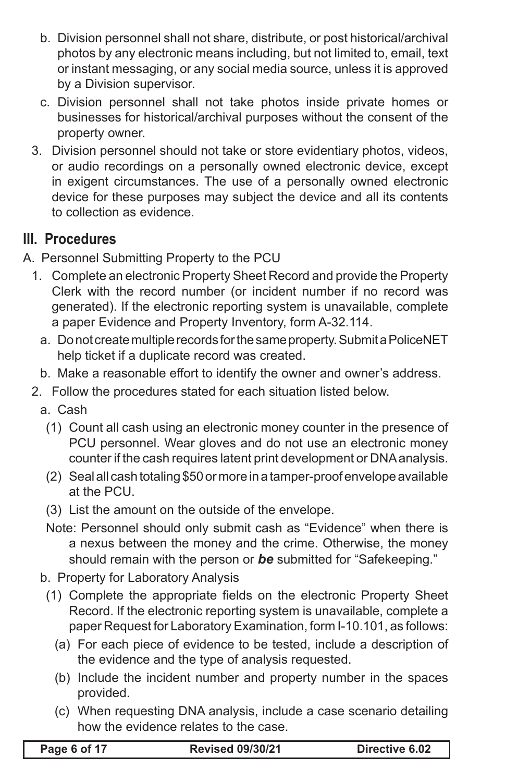- b. Division personnel shall not share, distribute, or post historical/archival photos by any electronic means including, but not limited to, email, text or instant messaging, or any social media source, unless it is approved by a Division supervisor.
- c. Division personnel shall not take photos inside private homes or businesses for historical/archival purposes without the consent of the property owner.
- 3. Division personnel should not take or store evidentiary photos, videos, or audio recordings on a personally owned electronic device, except in exigent circumstances. The use of a personally owned electronic device for these purposes may subject the device and all its contents to collection as evidence.

# **III. Procedures**

- A. Personnel Submitting Property to the PCU
	- 1. Complete an electronic Property Sheet Record and provide the Property Clerk with the record number (or incident number if no record was generated). If the electronic reporting system is unavailable, complete a paper Evidence and Property Inventory, form A-32.114.
		- a. Do not create multiple records for the same property. Submit a PoliceNET help ticket if a duplicate record was created.
		- b. Make a reasonable effort to identify the owner and owner's address.
	- 2. Follow the procedures stated for each situation listed below.
		- a. Cash
			- (1) Count all cash using an electronic money counter in the presence of PCU personnel. Wear gloves and do not use an electronic money counter if the cash requires latent print development or DNA analysis.
			- (2) Seal all cash totaling \$50 or more in a tamper-proof envelope available at the PCU.
			- (3) List the amount on the outside of the envelope.
			- Note: Personnel should only submit cash as "Evidence" when there is a nexus between the money and the crime. Otherwise, the money should remain with the person or *be* submitted for "Safekeeping."
		- b. Property for Laboratory Analysis
		- (1) Complete the appropriate fields on the electronic Property Sheet Record. If the electronic reporting system is unavailable, complete a paper Request for Laboratory Examination, form I-10.101, as follows:
			- (a) For each piece of evidence to be tested, include a description of the evidence and the type of analysis requested.
			- (b) Include the incident number and property number in the spaces provided.
			- (c) When requesting DNA analysis, include a case scenario detailing how the evidence relates to the case.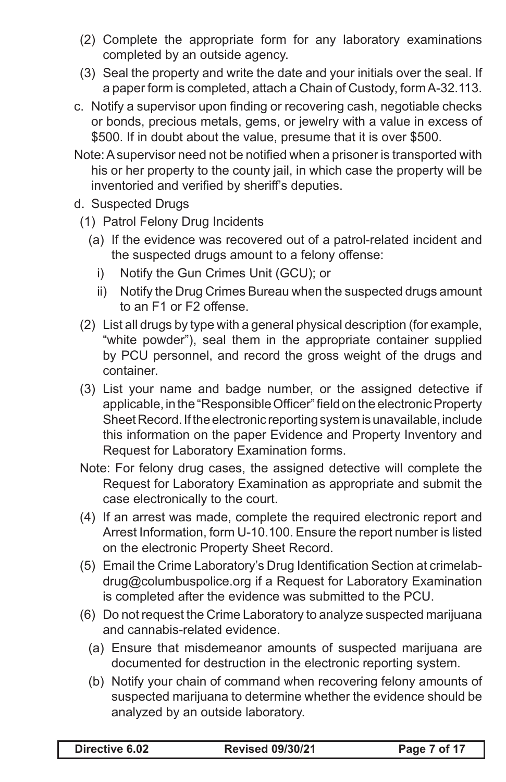- (2) Complete the appropriate form for any laboratory examinations completed by an outside agency.
- (3) Seal the property and write the date and your initials over the seal. If a paper form is completed, attach a Chain of Custody, form A-32.113.
- c. Notify a supervisor upon finding or recovering cash, negotiable checks or bonds, precious metals, gems, or jewelry with a value in excess of \$500. If in doubt about the value, presume that it is over \$500.
- Note:Asupervisor need not be notified when a prisoner is transported with his or her property to the county jail, in which case the property will be inventoried and verified by sheriff's deputies.
- d. Suspected Drugs
- (1) Patrol Felony Drug Incidents
	- (a) If the evidence was recovered out of a patrol-related incident and the suspected drugs amount to a felony offense:
		- i) Notify the Gun Crimes Unit (GCU); or
		- ii) Notify the Drug Crimes Bureau when the suspected drugs amount to an F1 or F2 offense.
- (2) List all drugs by type with a general physical description (for example, "white powder"), seal them in the appropriate container supplied by PCU personnel, and record the gross weight of the drugs and container.
- (3) List your name and badge number, or the assigned detective if applicable, in the "Responsible Officer" field on the electronic Property Sheet Record. If the electronic reporting system is unavailable, include this information on the paper Evidence and Property Inventory and Request for Laboratory Examination forms.
- Note: For felony drug cases, the assigned detective will complete the Request for Laboratory Examination as appropriate and submit the case electronically to the court.
- (4) If an arrest was made, complete the required electronic report and Arrest Information, form U-10.100. Ensure the report number is listed on the electronic Property Sheet Record.
- (5) Email the Crime Laboratory's Drug Identification Section at crimelabdrug@columbuspolice.org if a Request for Laboratory Examination is completed after the evidence was submitted to the PCU.
- (6) Do not request the Crime Laboratory to analyze suspected marijuana and cannabis-related evidence.
	- (a) Ensure that misdemeanor amounts of suspected marijuana are documented for destruction in the electronic reporting system.
	- (b) Notify your chain of command when recovering felony amounts of suspected marijuana to determine whether the evidence should be analyzed by an outside laboratory.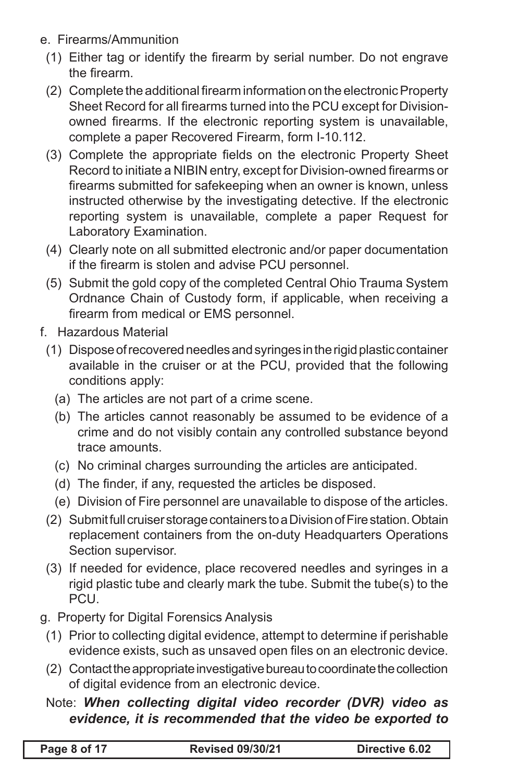- e. Firearms/Ammunition
	- (1) Either tag or identify the firearm by serial number. Do not engrave the firearm.
	- (2) Complete the additional firearm information on the electronicProperty Sheet Record for all firearms turned into the PCU except for Divisionowned firearms. If the electronic reporting system is unavailable, complete a paper Recovered Firearm, form I-10.112.
	- (3) Complete the appropriate fields on the electronic Property Sheet Record to initiate a NIBIN entry, except for Division-owned firearms or firearms submitted for safekeeping when an owner is known, unless instructed otherwise by the investigating detective. If the electronic reporting system is unavailable, complete a paper Request for Laboratory Examination.
	- (4) Clearly note on all submitted electronic and/or paper documentation if the firearm is stolen and advise PCU personnel.
	- (5) Submit the gold copy of the completed Central Ohio Trauma System Ordnance Chain of Custody form, if applicable, when receiving a firearm from medical or EMS personnel.
- f. Hazardous Material
	- (1) Dispose of recovered needles and syringes in the rigid plastic container available in the cruiser or at the PCU, provided that the following conditions apply:
		- (a) The articles are not part of a crime scene.
		- (b) The articles cannot reasonably be assumed to be evidence of a crime and do not visibly contain any controlled substance beyond trace amounts.
		- (c) No criminal charges surrounding the articles are anticipated.
		- (d) The finder, if any, requested the articles be disposed.
		- (e) Division of Fire personnel are unavailable to dispose of the articles.
	- (2) Submit full cruiser storage containers to a Division of Fire station. Obtain replacement containers from the on-duty Headquarters Operations Section supervisor.
	- (3) If needed for evidence, place recovered needles and syringes in a rigid plastic tube and clearly mark the tube. Submit the tube(s) to the PCU.
- g. Property for Digital Forensics Analysis
	- (1) Prior to collecting digital evidence, attempt to determine if perishable evidence exists, such as unsaved open files on an electronic device.
	- (2) Contact the appropriate investigative bureau to coordinate the collection of digital evidence from an electronic device.

#### Note: *When collecting digital video recorder (DVR) video as evidence, it is recommended that the video be exported to*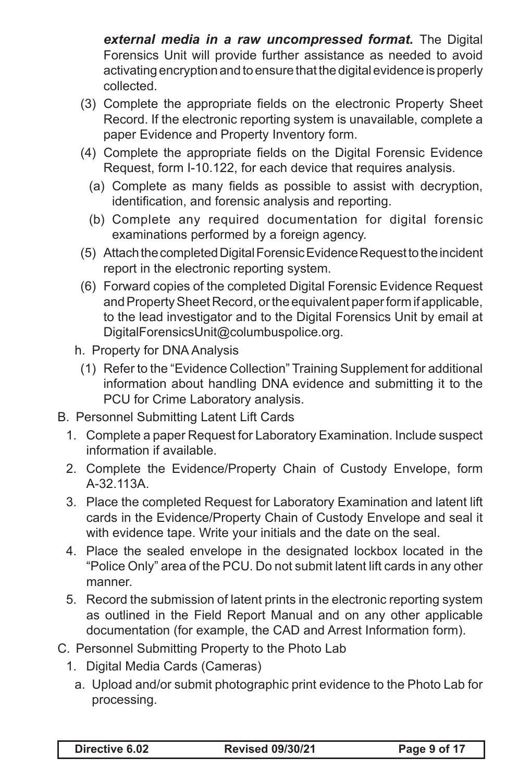*external media in a raw uncompressed format.* The Digital Forensics Unit will provide further assistance as needed to avoid activating encryption and to ensure that the digital evidence is properly collected.

- (3) Complete the appropriate fields on the electronic Property Sheet Record. If the electronic reporting system is unavailable, complete a paper Evidence and Property Inventory form.
- (4) Complete the appropriate fields on the Digital Forensic Evidence Request, form I-10.122, for each device that requires analysis.
	- (a) Complete as many fields as possible to assist with decryption, identification, and forensic analysis and reporting.
	- (b) Complete any required documentation for digital forensic examinations performed by a foreign agency.
- (5) Attach the completed Digital Forensic Evidence Request to the incident report in the electronic reporting system.
- (6) Forward copies of the completed Digital Forensic Evidence Request and Property Sheet Record, or the equivalent paper form if applicable, to the lead investigator and to the Digital Forensics Unit by email at DigitalForensicsUnit@columbuspolice.org.
- h. Property for DNA Analysis
	- (1) Refer to the "Evidence Collection" Training Supplement for additional information about handling DNA evidence and submitting it to the PCU for Crime Laboratory analysis.
- B. Personnel Submitting Latent Lift Cards
	- 1. Complete a paper Request for Laboratory Examination. Include suspect information if available.
	- 2. Complete the Evidence/Property Chain of Custody Envelope, form A-32.113A.
	- 3. Place the completed Request for Laboratory Examination and latent lift cards in the Evidence/Property Chain of Custody Envelope and seal it with evidence tape. Write your initials and the date on the seal.
	- 4. Place the sealed envelope in the designated lockbox located in the "Police Only" area of the PCU. Do not submit latent lift cards in any other manner.
	- 5. Record the submission of latent prints in the electronic reporting system as outlined in the Field Report Manual and on any other applicable documentation (for example, the CAD and Arrest Information form).
- C. Personnel Submitting Property to the Photo Lab
	- 1. Digital Media Cards (Cameras)
		- a. Upload and/or submit photographic print evidence to the Photo Lab for processing.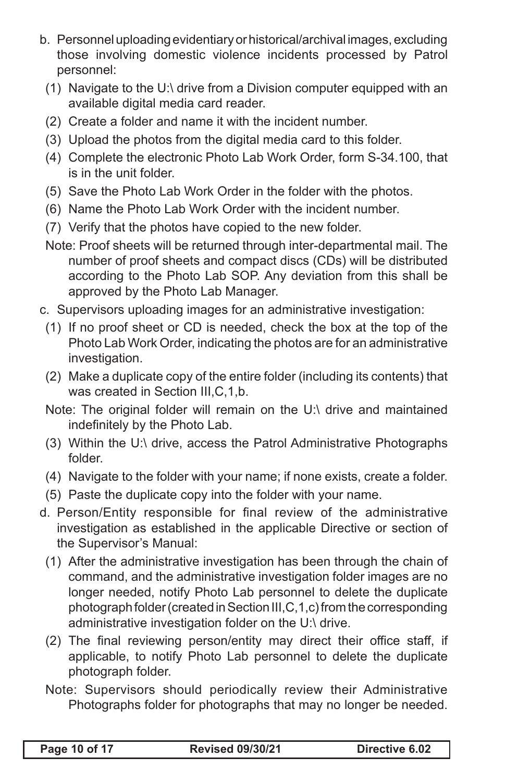- b. Personnel uploading evidentiary or historical/archival images, excluding those involving domestic violence incidents processed by Patrol personnel:
	- (1) Navigate to the U:\ drive from a Division computer equipped with an available digital media card reader.
	- (2) Create a folder and name it with the incident number.
	- (3) Upload the photos from the digital media card to this folder.
	- (4) Complete the electronic Photo Lab Work Order, form S-34.100, that is in the unit folder.
	- (5) Save the Photo Lab Work Order in the folder with the photos.
	- (6) Name the Photo Lab Work Order with the incident number.
	- (7) Verify that the photos have copied to the new folder.
	- Note: Proof sheets will be returned through inter-departmental mail. The number of proof sheets and compact discs (CDs) will be distributed according to the Photo Lab SOP. Any deviation from this shall be approved by the Photo Lab Manager.
- c. Supervisors uploading images for an administrative investigation:
	- (1) If no proof sheet or CD is needed, check the box at the top of the Photo Lab Work Order, indicating the photos are for an administrative investigation.
	- (2) Make a duplicate copy of the entire folder (including its contents) that was created in Section III,C,1,b.
	- Note: The original folder will remain on the U:\ drive and maintained indefinitely by the Photo Lab.
	- (3) Within the U:\ drive, access the Patrol Administrative Photographs folder.
	- (4) Navigate to the folder with your name; if none exists, create a folder.
	- (5) Paste the duplicate copy into the folder with your name.
- d. Person/Entity responsible for final review of the administrative investigation as established in the applicable Directive or section of the Supervisor's Manual:
	- (1) After the administrative investigation has been through the chain of command, and the administrative investigation folder images are no longer needed, notify Photo Lab personnel to delete the duplicate photograph folder (created in Section III,C,1,c) from the corresponding administrative investigation folder on the U:\ drive.
	- (2) The final reviewing person/entity may direct their office staff, if applicable, to notify Photo Lab personnel to delete the duplicate photograph folder.
	- Note: Supervisors should periodically review their Administrative Photographs folder for photographs that may no longer be needed.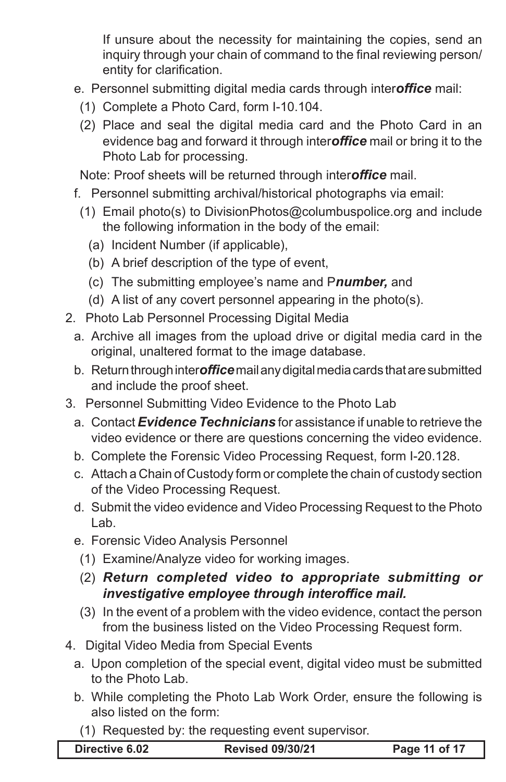If unsure about the necessity for maintaining the copies, send an inquiry through your chain of command to the final reviewing person/ entity for clarification.

- e. Personnel submitting digital media cards through inter*office* mail:
	- (1) Complete a Photo Card, form I-10.104.
- (2) Place and seal the digital media card and the Photo Card in an evidence bag and forward it through inter*office* mail or bring it to the Photo Lab for processing.

Note: Proof sheets will be returned through inter*office* mail.

- f. Personnel submitting archival/historical photographs via email:
	- (1) Email photo(s) to DivisionPhotos@columbuspolice.org and include the following information in the body of the email:
		- (a) Incident Number (if applicable),
		- (b) A brief description of the type of event,
		- (c) The submitting employee's name and P*number,* and
		- (d) A list of any covert personnel appearing in the photo(s).
- 2. Photo Lab Personnel Processing Digital Media
	- a. Archive all images from the upload drive or digital media card in the original, unaltered format to the image database.
	- b. Return through inter*office* mail any digital media cards that are submitted and include the proof sheet.
- 3. Personnel Submitting Video Evidence to the Photo Lab
	- a. Contact *Evidence Technicians* for assistance if unable to retrieve the video evidence or there are questions concerning the video evidence.
	- b. Complete the Forensic Video Processing Request, form I-20.128.
	- c. Attach a Chain of Custody form or complete the chain of custody section of the Video Processing Request.
	- d. Submit the video evidence and Video Processing Request to the Photo Lab.
	- e. Forensic Video Analysis Personnel
		- (1) Examine/Analyze video for working images.
		- (2) *Return completed video to appropriate submitting or investigative employee through interoffice mail.*
		- (3) In the event of a problem with the video evidence, contact the person from the business listed on the Video Processing Request form.
- 4. Digital Video Media from Special Events
	- a. Upon completion of the special event, digital video must be submitted to the Photo Lab.
	- b. While completing the Photo Lab Work Order, ensure the following is also listed on the form:
		- (1) Requested by: the requesting event supervisor.

| <b>Revised 09/30/21</b><br>Directive 6.02 | Page 11 of 17 |
|-------------------------------------------|---------------|
|-------------------------------------------|---------------|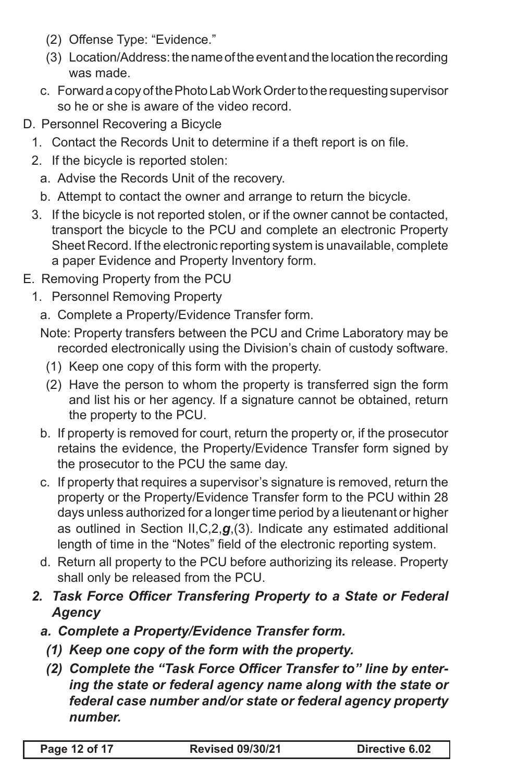- (2) Offense Type: "Evidence."
- (3) Location/Address: the name of the event and the location the recording was made.
- c. Forward a copy of the Photo Lab Work Order to the requesting supervisor so he or she is aware of the video record.
- D. Personnel Recovering a Bicycle
	- 1. Contact the Records Unit to determine if a theft report is on file.
	- 2. If the bicycle is reported stolen:
		- a. Advise the Records Unit of the recovery.
		- b. Attempt to contact the owner and arrange to return the bicycle.
	- 3. If the bicycle is not reported stolen, or if the owner cannot be contacted, transport the bicycle to the PCU and complete an electronic Property Sheet Record. If the electronic reporting system is unavailable, complete a paper Evidence and Property Inventory form.
- E. Removing Property from the PCU
	- 1. Personnel Removing Property
		- a. Complete a Property/Evidence Transfer form.
		- Note: Property transfers between the PCU and Crime Laboratory may be recorded electronically using the Division's chain of custody software.
			- (1) Keep one copy of this form with the property.
			- (2) Have the person to whom the property is transferred sign the form and list his or her agency. If a signature cannot be obtained, return the property to the PCU.
		- b. If property is removed for court, return the property or, if the prosecutor retains the evidence, the Property/Evidence Transfer form signed by the prosecutor to the PCU the same day.
		- c. If property that requires a supervisor's signature is removed, return the property or the Property/Evidence Transfer form to the PCU within 28 days unless authorized for a longer time period by a lieutenant or higher as outlined in Section II,C,2,*g*,(3). Indicate any estimated additional length of time in the "Notes" field of the electronic reporting system.
		- d. Return all property to the PCU before authorizing its release. Property shall only be released from the PCU.
	- *2. Task Force Officer Transfering Property to a State or Federal Agency*
		- *a. Complete a Property/Evidence Transfer form.*
			- *(1) Keep one copy of the form with the property.*
			- *(2) Complete the "Task Force Officer Transfer to" line by entering the state or federal agency name along with the state or federal case number and/or state or federal agency property number.*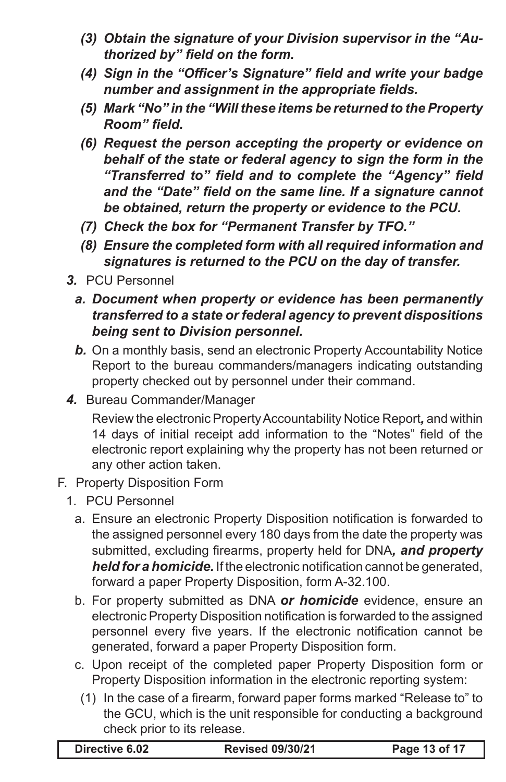- *(3) Obtain the signature of your Division supervisor in the "Authorized by" field on the form.*
- *(4) Sign in the "Officer's Signature" field and write your badge number and assignment in the appropriate fields.*
- *(5) Mark "No" in the "Will these items be returned to the Property Room" field.*
- *(6) Request the person accepting the property or evidence on behalf of the state or federal agency to sign the form in the "Transferred to" field and to complete the "Agency" field and the "Date" field on the same line. If a signature cannot be obtained, return the property or evidence to the PCU.*
- *(7) Check the box for "Permanent Transfer by TFO."*
- *(8) Ensure the completed form with all required information and signatures is returned to the PCU on the day of transfer.*
- *3.* PCU Personnel
	- *a. Document when property or evidence has been permanently transferred to a state or federal agency to prevent dispositions being sent to Division personnel.*
	- **b.** On a monthly basis, send an electronic Property Accountability Notice Report to the bureau commanders/managers indicating outstanding property checked out by personnel under their command.
- *4.* Bureau Commander/Manager

Review the electronic Property Accountability Notice Report*,* and within 14 days of initial receipt add information to the "Notes" field of the electronic report explaining why the property has not been returned or any other action taken.

- F. Property Disposition Form
	- 1. PCU Personnel
		- a. Ensure an electronic Property Disposition notification is forwarded to the assigned personnel every 180 days from the date the property was submitted, excluding firearms, property held for DNA*, and property held for a homicide.* If the electronic notification cannot be generated, forward a paper Property Disposition, form A-32.100.
		- b. For property submitted as DNA *or homicide* evidence, ensure an electronic Property Disposition notification is forwarded to the assigned personnel every five years. If the electronic notification cannot be generated, forward a paper Property Disposition form.
		- c. Upon receipt of the completed paper Property Disposition form or Property Disposition information in the electronic reporting system:
			- (1) In the case of a firearm, forward paper forms marked "Release to" to the GCU, which is the unit responsible for conducting a background check prior to its release.

| Directive 6.02 |  |
|----------------|--|
|----------------|--|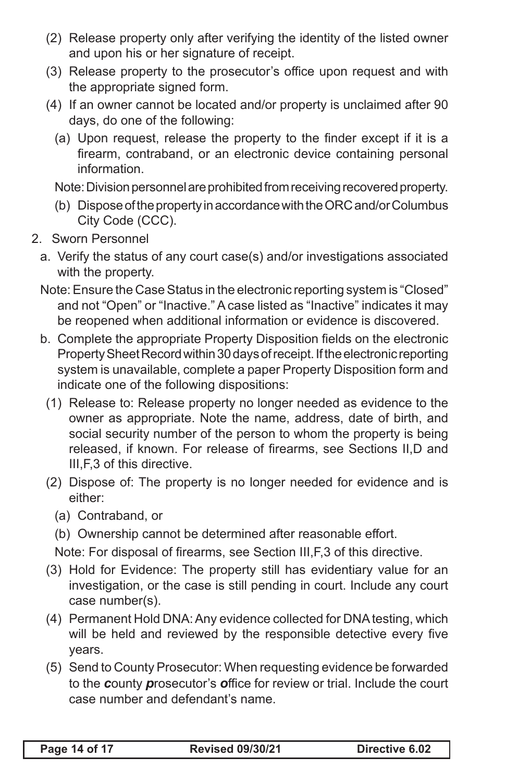- (2) Release property only after verifying the identity of the listed owner and upon his or her signature of receipt.
- (3) Release property to the prosecutor's office upon request and with the appropriate signed form.
- (4) If an owner cannot be located and/or property is unclaimed after 90 days, do one of the following:
	- (a) Upon request, release the property to the finder except if it is a firearm, contraband, or an electronic device containing personal information.

Note: Division personnel are prohibited from receiving recovered property.

- (b) Dispose of the property in accordance with the ORC and/or Columbus City Code (CCC).
- 2. Sworn Personnel
	- a. Verify the status of any court case(s) and/or investigations associated with the property.
	- Note: Ensure the Case Status in the electronic reporting system is "Closed" and not "Open" or "Inactive." A case listed as "Inactive" indicates it may be reopened when additional information or evidence is discovered.
	- b. Complete the appropriate Property Disposition fields on the electronic Property Sheet Record within 30 days of receipt. If the electronic reporting system is unavailable, complete a paper Property Disposition form and indicate one of the following dispositions:
		- (1) Release to: Release property no longer needed as evidence to the owner as appropriate. Note the name, address, date of birth, and social security number of the person to whom the property is being released, if known. For release of firearms, see Sections II,D and III,F,3 of this directive.
		- (2) Dispose of: The property is no longer needed for evidence and is either:
			- (a) Contraband, or
			- (b) Ownership cannot be determined after reasonable effort.

Note: For disposal of firearms, see Section III,F,3 of this directive.

- (3) Hold for Evidence: The property still has evidentiary value for an investigation, or the case is still pending in court. Include any court case number(s).
- (4) Permanent Hold DNA: Any evidence collected for DNA testing, which will be held and reviewed by the responsible detective every five years.
- (5) Send to County Prosecutor: When requesting evidence be forwarded to the *c*ounty *p*rosecutor's *o*ffice for review or trial. Include the court case number and defendant's name.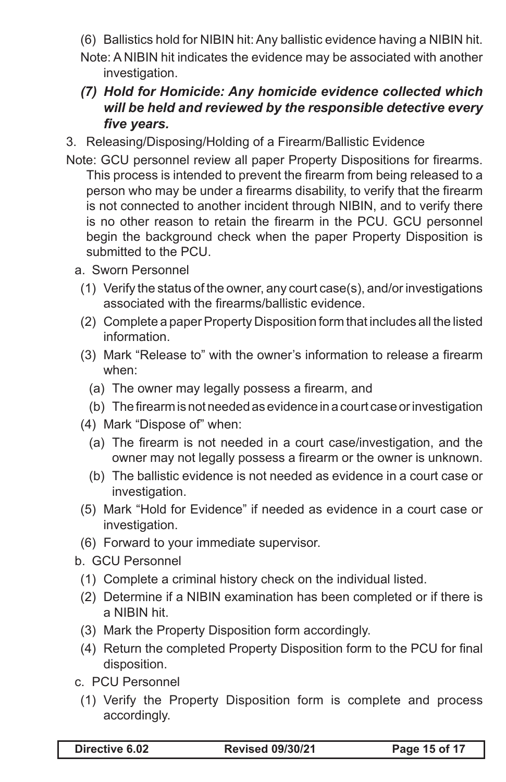(6) Ballistics hold for NIBIN hit: Any ballistic evidence having a NIBIN hit.

- Note: A NIBIN hit indicates the evidence may be associated with another investigation.
- *(7) Hold for Homicide: Any homicide evidence collected which will be held and reviewed by the responsible detective every five years.*
- 3. Releasing/Disposing/Holding of a Firearm/Ballistic Evidence
- Note: GCU personnel review all paper Property Dispositions for firearms. This process is intended to prevent the firearm from being released to a person who may be under a firearms disability, to verify that the firearm is not connected to another incident through NIBIN, and to verify there is no other reason to retain the firearm in the PCU. GCU personnel begin the background check when the paper Property Disposition is submitted to the PCU.
	- a. Sworn Personnel
		- (1) Verify the status of the owner, any court case(s), and/or investigations associated with the firearms/ballistic evidence.
		- (2) Complete a paper Property Disposition form that includes all the listed information.
		- (3) Mark "Release to" with the owner's information to release a firearm when:
			- (a) The owner may legally possess a firearm, and
			- (b) The firearm is not needed as evidence in a court case or investigation
		- (4) Mark "Dispose of" when:
			- (a) The firearm is not needed in a court case/investigation, and the owner may not legally possess a firearm or the owner is unknown.
			- (b) The ballistic evidence is not needed as evidence in a court case or investigation.
		- (5) Mark "Hold for Evidence" if needed as evidence in a court case or investigation.
		- (6) Forward to your immediate supervisor.
	- b. GCU Personnel
		- (1) Complete a criminal history check on the individual listed.
		- (2) Determine if a NIBIN examination has been completed or if there is a NIBIN hit.
		- (3) Mark the Property Disposition form accordingly.
		- (4) Return the completed Property Disposition form to the PCU for final disposition.
	- c. PCU Personnel
	- (1) Verify the Property Disposition form is complete and process accordingly.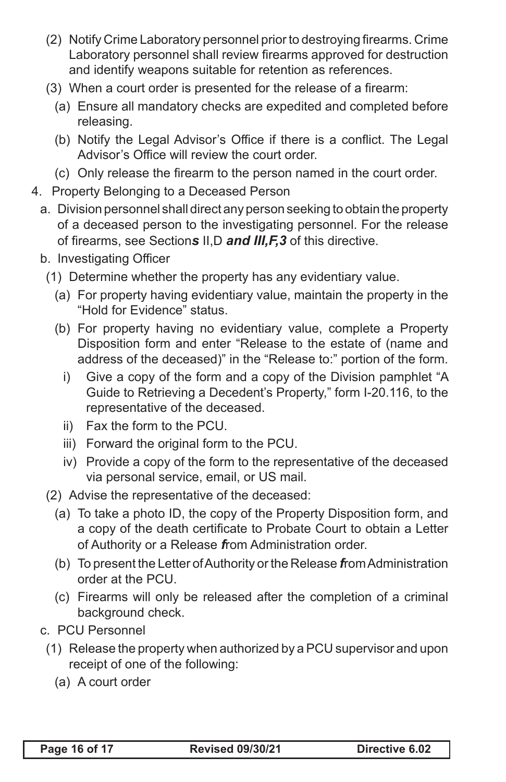- (2) Notify Crime Laboratory personnel prior to destroying firearms. Crime Laboratory personnel shall review firearms approved for destruction and identify weapons suitable for retention as references.
- (3) When a court order is presented for the release of a firearm:
	- (a) Ensure all mandatory checks are expedited and completed before releasing.
	- (b) Notify the Legal Advisor's Office if there is a conflict. The Legal Advisor's Office will review the court order.
	- (c) Only release the firearm to the person named in the court order.
- 4. Property Belonging to a Deceased Person
	- a. Division personnel shall direct any person seeking to obtain the property of a deceased person to the investigating personnel. For the release of firearms, see Section*s* II,D *and III,F,3* of this directive.
	- b. Investigating Officer
		- (1) Determine whether the property has any evidentiary value.
			- (a) For property having evidentiary value, maintain the property in the "Hold for Evidence" status.
			- (b) For property having no evidentiary value, complete a Property Disposition form and enter "Release to the estate of (name and address of the deceased)" in the "Release to:" portion of the form.
				- i) Give a copy of the form and a copy of the Division pamphlet "A Guide to Retrieving a Decedent's Property," form I-20.116, to the representative of the deceased.
				- ii) Fax the form to the PCU.
				- iii) Forward the original form to the PCU.
				- iv) Provide a copy of the form to the representative of the deceased via personal service, email, or US mail.
		- (2) Advise the representative of the deceased:
			- (a) To take a photo ID, the copy of the Property Disposition form, and a copy of the death certificate to Probate Court to obtain a Letter of Authority or a Release *f*rom Administration order.
			- (b) To present the Letter of Authority or the Release *f*rom Administration order at the PCU.
			- (c) Firearms will only be released after the completion of a criminal background check.
	- c. PCU Personnel
	- (1) Release the property when authorized by a PCU supervisor and upon receipt of one of the following:
		- (a) A court order